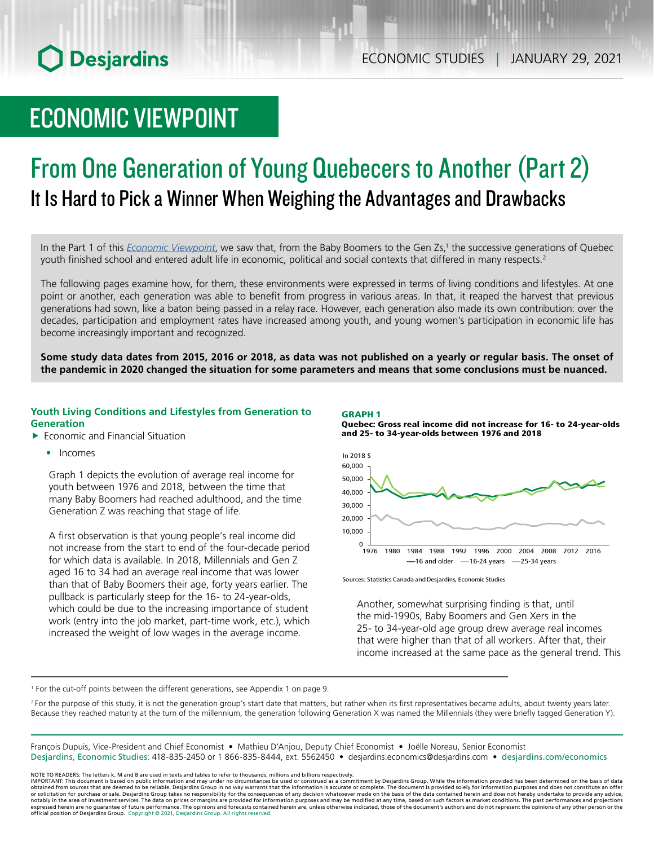# ECONOMIC VIEWPOINT

## From One Generation of Young Quebecers to Another (Part 2) It Is Hard to Pick a Winner When Weighing the Advantages and Drawbacks

In the Part 1 of this *[Economic Viewpoint](https://www.desjardins.com/ressources/pdf/pv012821e.pdf?resVer=1611846020000)*, we saw that, from the Baby Boomers to the Gen Zs,<sup>1</sup> the successive generations of Quebec youth finished school and entered adult life in economic, political and social contexts that differed in many respects.<sup>2</sup>

The following pages examine how, for them, these environments were expressed in terms of living conditions and lifestyles. At one point or another, each generation was able to benefit from progress in various areas. In that, it reaped the harvest that previous generations had sown, like a baton being passed in a relay race. However, each generation also made its own contribution: over the decades, participation and employment rates have increased among youth, and young women's participation in economic life has become increasingly important and recognized.

**Some study data dates from 2015, 2016 or 2018, as data was not published on a yearly or regular basis. The onset of the pandemic in 2020 changed the situation for some parameters and means that some conclusions must be nuanced.**

### **Youth Living Conditions and Lifestyles from Generation to Generation**

- $\blacktriangleright$  Economic and Financial Situation
	- Incomes

Graph 1 depicts the evolution of average real income for youth between 1976 and 2018, between the time that many Baby Boomers had reached adulthood, and the time Generation Z was reaching that stage of life.

A first observation is that young people's real income did not increase from the start to end of the four-decade period for which data is available. In 2018, Millennials and Gen Z aged 16 to 34 had an average real income that was lower than that of Baby Boomers their age, forty years earlier. The pullback is particularly steep for the 16- to 24-year-olds, which could be due to the increasing importance of student work (entry into the job market, part-time work, etc.), which increased the weight of low wages in the average income.

#### GRAPH 1

Quebec: Gross real income did not increase for 16- to 24-year-olds and 25- to 34-year-olds between 1976 and 2018



Sources: Statistics Canada and Desjardins, Economic Studies

Another, somewhat surprising finding is that, until the mid-1990s, Baby Boomers and Gen Xers in the 25- to 34-year-old age group drew average real incomes that were higher than that of all workers. After that, their income increased at the same pace as the general trend. This

1 For the cut-off points between the different generations, see Appendix 1 on page 9.

<sup>2</sup> For the purpose of this study, it is not the generation group's start date that matters, but rather when its first representatives became adults, about twenty years later. Because they reached maturity at the turn of the millennium, the generation following Generation X was named the Millennials (they were briefly tagged Generation Y).

François Dupuis, Vice-President and Chief Economist • Mathieu D'Anjou, Deputy Chief Economist • Joëlle Noreau, Senior Economist Desjardins, Economic Studies: 418-835-2450 or 1 866-835-8444, ext. 5562450 • desjardins.economics@desjardins.com • desjardins.com/economics

NOTE TO READERS: The letters k, M and B are used in texts and tables to refer to thousands, millions and billions respectively.<br>IMPORTANT: This document is based on public information and may under no circumstances be used obtained from sources that are deemed to be reliable, Desjardins Group in no way warrants that the information is accurate or complete. The document is provided solely for information purposes and does not constitute an of expressed herein are no guarantee of future performance. The opinions and forecasts contained herein are, unless otherwise indicated, those of the document's authors and do not represent the opinions of any other person or official position of Desjardins Group. Copyright © 2021, Desjardins Group. All rights reserved.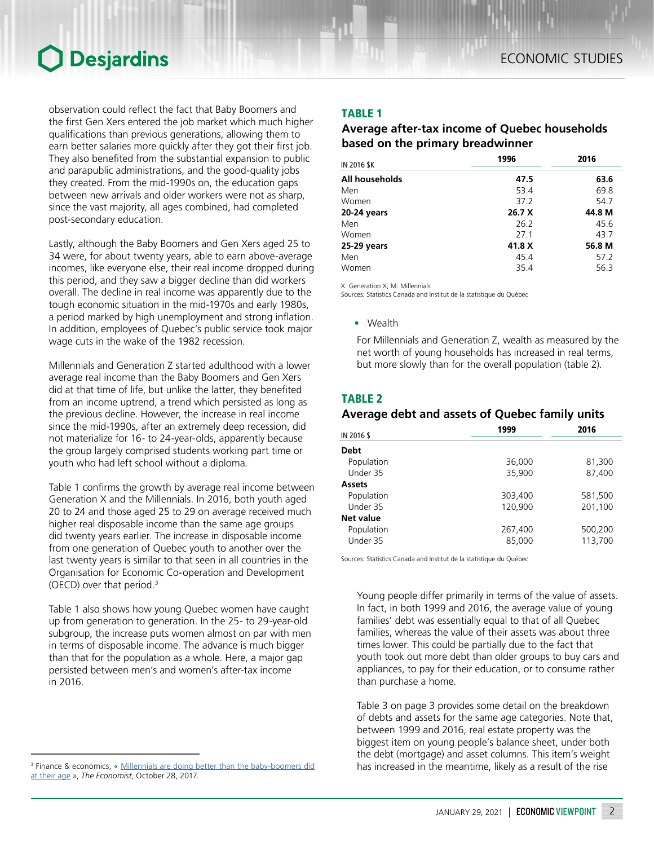observation could reflect the fact that Baby Boomers and the first Gen Xers entered the job market which much higher qualifications than previous generations, allowing them to earn better salaries more quickly after they got their first job. They also benefited from the substantial expansion to public and parapublic administrations, and the good-quality jobs they created. From the mid-1990s on, the education gaps between new arrivals and older workers were not as sharp, since the vast majority, all ages combined, had completed post-secondary education.

Lastly, although the Baby Boomers and Gen Xers aged 25 to 34 were, for about twenty years, able to earn above-average incomes, like everyone else, their real income dropped during this period, and they saw a bigger decline than did workers overall. The decline in real income was apparently due to the tough economic situation in the mid-1970s and early 1980s, a period marked by high unemployment and strong inflation. In addition, employees of Quebec's public service took major wage cuts in the wake of the 1982 recession.

Millennials and Generation Z started adulthood with a lower average real income than the Baby Boomers and Gen Xers did at that time of life, but unlike the latter, they benefited from an income uptrend, a trend which persisted as long as the previous decline. However, the increase in real income since the mid-1990s, after an extremely deep recession, did not materialize for 16- to 24-year-olds, apparently because the group largely comprised students working part time or youth who had left school without a diploma.

Table 1 confirms the growth by average real income between Generation X and the Millennials. In 2016, both youth aged 20 to 24 and those aged 25 to 29 on average received much higher real disposable income than the same age groups did twenty years earlier. The increase in disposable income from one generation of Quebec youth to another over the last twenty years is similar to that seen in all countries in the Organisation for Economic Co-operation and Development (OECD) over that period.3

Table 1 also shows how young Quebec women have caught up from generation to generation. In the 25- to 29-year-old subgroup, the increase puts women almost on par with men in terms of disposable income. The advance is much bigger than that for the population as a whole. Here, a major gap persisted between men's and women's after-tax income in 2016.

## TABLE 1

## *Average after-tax income of Quebec households based on the primary breadwinner*

| IN 2016 \$K    | 1996   | 2016   |  |
|----------------|--------|--------|--|
| All households | 47.5   | 63.6   |  |
| Men            | 53.4   | 69.8   |  |
| Women          | 37.2   | 54.7   |  |
| 20-24 years    | 26.7 X | 44.8 M |  |
| Men            | 26.2   | 45.6   |  |
| Women          | 271    | 43.7   |  |
| 25-29 years    | 41.8 X | 56.8 M |  |
| Men            | 45.4   | 57.2   |  |
| Women          | 35.4   | 56.3   |  |

X: Generation X; M: Millennials

Sources: Statistics Canada and Institut de la statistique du Québec

• Wealth

For Millennials and Generation Z, wealth as measured by the net worth of young households has increased in real terms, but more slowly than for the overall population (table 2).

## TABLE 2

## *Average debt and assets of Quebec family units*

| IN 2016 \$       | 1999    | 2016    |  |
|------------------|---------|---------|--|
| <b>Debt</b>      |         |         |  |
|                  |         |         |  |
| Population       | 36,000  | 81,300  |  |
| Under 35         | 35,900  | 87,400  |  |
| <b>Assets</b>    |         |         |  |
| Population       | 303,400 | 581,500 |  |
| Under 35         | 120,900 | 201,100 |  |
| <b>Net value</b> |         |         |  |
| Population       | 267,400 | 500,200 |  |
| Under 35         | 85,000  | 113,700 |  |

Sources: Statistics Canada and Institut de la statistique du Québec

Young people differ primarily in terms of the value of assets. In fact, in both 1999 and 2016, the average value of young families' debt was essentially equal to that of all Quebec families, whereas the value of their assets was about three times lower. This could be partially due to the fact that youth took out more debt than older groups to buy cars and appliances, to pay for their education, or to consume rather than purchase a home.

Table 3 on page 3 provides some detail on the breakdown of debts and assets for the same age categories. Note that, between 1999 and 2016, real estate property was the biggest item on young people's balance sheet, under both the debt (mortgage) and asset columns. This item's weight has increased in the meantime, likely as a result of the rise

<sup>&</sup>lt;sup>3</sup> Finance & economics, « Millennials are doing better than the baby-boomers did [at their age](https://www.economist.com/finance-and-economics/2017/10/28/millennials-are-doing-better-than-the-baby-boomers-did-at-their-age) », *The Economist*, October 28, 2017.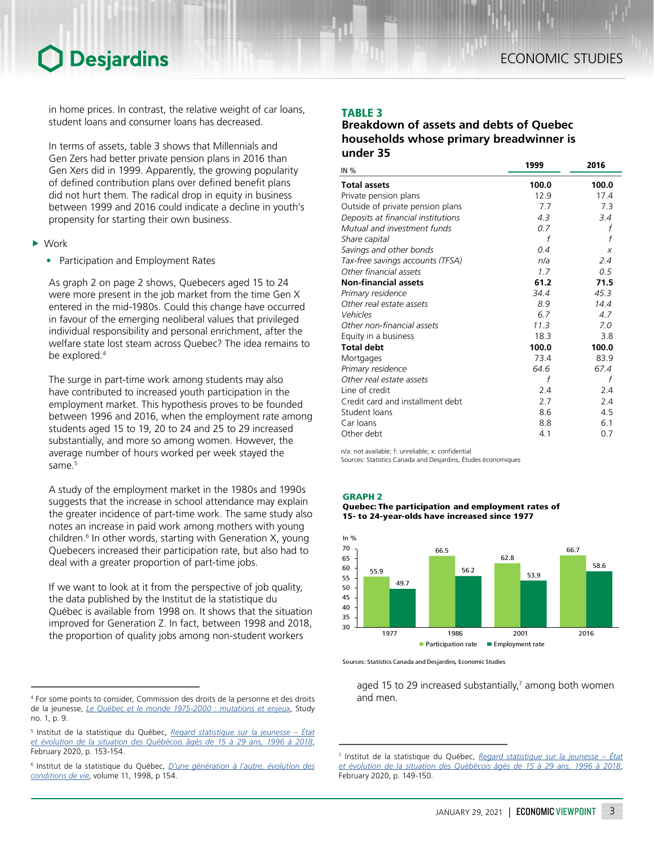in home prices. In contrast, the relative weight of car loans, student loans and consumer loans has decreased.

In terms of assets, table 3 shows that Millennials and Gen Zers had better private pension plans in 2016 than Gen Xers did in 1999. Apparently, the growing popularity of defined contribution plans over defined benefit plans did not hurt them. The radical drop in equity in business between 1999 and 2016 could indicate a decline in youth's propensity for starting their own business.

- $\blacktriangleright$  Work
	- Participation and Employment Rates

As graph 2 on page 2 shows, Quebecers aged 15 to 24 were more present in the job market from the time Gen X entered in the mid-1980s. Could this change have occurred in favour of the emerging neoliberal values that privileged individual responsibility and personal enrichment, after the welfare state lost steam across Quebec? The idea remains to be explored.<sup>4</sup>

The surge in part-time work among students may also have contributed to increased youth participation in the employment market. This hypothesis proves to be founded between 1996 and 2016, when the employment rate among students aged 15 to 19, 20 to 24 and 25 to 29 increased substantially, and more so among women. However, the average number of hours worked per week stayed the same.<sup>5</sup>

A study of the employment market in the 1980s and 1990s suggests that the increase in school attendance may explain the greater incidence of part-time work. The same study also notes an increase in paid work among mothers with young children.<sup>6</sup> In other words, starting with Generation X, young Quebecers increased their participation rate, but also had to deal with a greater proportion of part-time jobs.

If we want to look at it from the perspective of job quality, the data published by the Institut de la statistique du Québec is available from 1998 on. It shows that the situation improved for Generation Z. In fact, between 1998 and 2018, the proportion of quality jobs among non-student workers

## TABLE 3

## *Breakdown of assets and debts of Quebec households whose primary breadwinner is under 35*

| <b>IN %</b>                        | 1999  | 2016  |
|------------------------------------|-------|-------|
| <b>Total assets</b>                | 100.0 | 100.0 |
| Private pension plans              | 12.9  | 17.4  |
| Outside of private pension plans   | 7.7   | 7.3   |
| Deposits at financial institutions | 4.3   | 3.4   |
| Mutual and investment funds        | 0.7   | f     |
| Share capital                      | f     | f     |
| Savings and other bonds            | 0.4   | X     |
| Tax-free savings accounts (TFSA)   | n/a   | 2.4   |
| Other financial assets             | 1.7   | 0.5   |
| <b>Non-financial assets</b>        | 61.2  | 71.5  |
| Primary residence                  | 34.4  | 45.3  |
| Other real estate assets           | 8.9   | 14.4  |
| Vehicles                           | 6.7   | 4.7   |
| Other non-financial assets         | 11.3  | 7.0   |
| Equity in a business               | 18.3  | 3.8   |
| <b>Total debt</b>                  | 100.0 | 100.0 |
| Mortgages                          | 73.4  | 83.9  |
| Primary residence                  | 64.6  | 67.4  |
| Other real estate assets           | f     | f     |
| Line of credit                     | 2.4   | 2.4   |
| Credit card and installment debt   | 2.7   | 2.4   |
| Student loans                      | 8.6   | 4.5   |
| Car loans                          | 8.8   | 6.1   |
| Other debt                         | 4.1   | 0.7   |

n/a: not available; f: unreliable; x: confidential

Sources: Statistics Canada and Desjardins, Études économiques







Sources: Statistics Canada and Desjardins, Economic Studies

aged 15 to 29 increased substantially,<sup>7</sup> among both women and men.

<sup>4</sup> For some points to consider, Commission des droits de la personne et des droits de la jeunesse, *[Le Québec et le monde 1975-2000 : mutations et enjeux](https://www.cdpdj.qc.ca/storage/app/media/publications/bilan_charte_etude_1.pdf)*, Study no. 1, p. 9.

<sup>5</sup> Institut de la statistique du Québec, *[Regard statistique sur la jeunesse – État](https://statistique.quebec.ca/fr/fichier/regard-statistique-sur-la-jeunesse-etat-et-evolution-de-la-situation-des-quebecois-ages-de-15-a-29-ans-1996-a-2018-edition-2019.pdf)  [et évolution de la situation des Québécois âgés de 15 à 29 ans, 1996 à 2018](https://statistique.quebec.ca/fr/fichier/regard-statistique-sur-la-jeunesse-etat-et-evolution-de-la-situation-des-quebecois-ages-de-15-a-29-ans-1996-a-2018-edition-2019.pdf)*, February 2020, p. 153-154.

<sup>6</sup> Institut de la statistique du Québec, *[D'une génération à l'autre, évolution des](https://bdso.gouv.qc.ca/docs-ken/multimedia/PB01614FR_Generation_vol21998H00F10.pdf)  [conditions de vie](https://bdso.gouv.qc.ca/docs-ken/multimedia/PB01614FR_Generation_vol21998H00F10.pdf)*, volume 11, 1998, p 154.

<sup>7</sup> Institut de la statistique du Québec, *[Regard statistique sur la jeunesse – État](https://statistique.quebec.ca/fr/fichier/regard-statistique-sur-la-jeunesse-etat-et-evolution-de-la-situation-des-quebecois-ages-de-15-a-29-ans-1996-a-2018-edition-2019.pdf)*  et évolution de la situation des Québécois âgés de 15 à 29 ans, 1996 à February 2020, p. 149-150.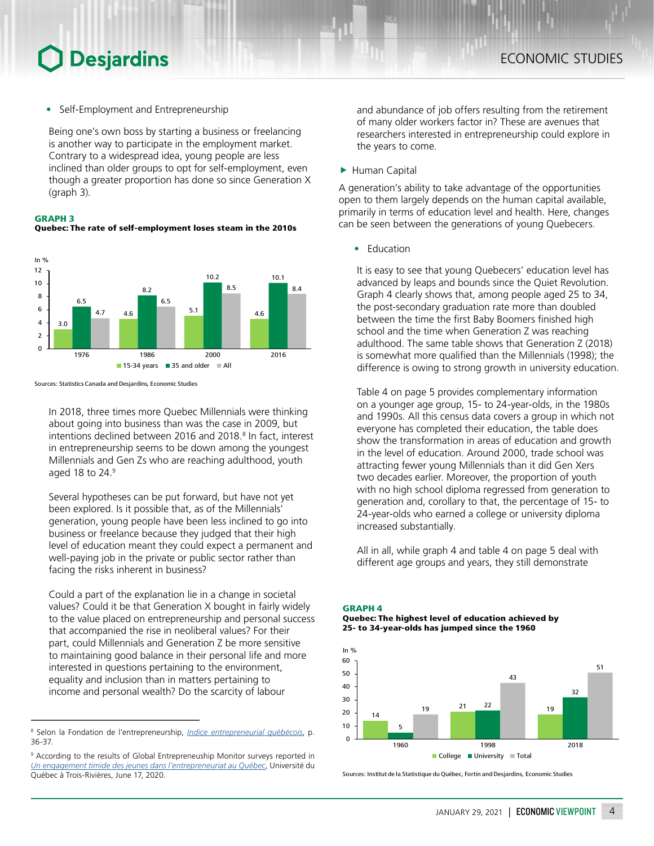• Self-Employment and Entrepreneurship

Being one's own boss by starting a business or freelancing is another way to participate in the employment market. Contrary to a widespread idea, young people are less inclined than older groups to opt for self-employment, even though a greater proportion has done so since Generation X (graph 3).

#### GRAPH 3

Quebec: The rate of self-employment loses steam in the 2010s



Sources: Statistics Canada and Desjardins, Economic Studies

In 2018, three times more Quebec Millennials were thinking about going into business than was the case in 2009, but intentions declined between 2016 and 2018.<sup>8</sup> In fact, interest in entrepreneurship seems to be down among the youngest Millennials and Gen Zs who are reaching adulthood, youth aged 18 to  $24.9$ 

Several hypotheses can be put forward, but have not yet been explored. Is it possible that, as of the Millennials' generation, young people have been less inclined to go into business or freelance because they judged that their high level of education meant they could expect a permanent and well-paying job in the private or public sector rather than facing the risks inherent in business?

Could a part of the explanation lie in a change in societal values? Could it be that Generation X bought in fairly widely to the value placed on entrepreneurship and personal success that accompanied the rise in neoliberal values? For their part, could Millennials and Generation Z be more sensitive to maintaining good balance in their personal life and more interested in questions pertaining to the environment, equality and inclusion than in matters pertaining to income and personal wealth? Do the scarcity of labour

and abundance of job offers resulting from the retirement of many older workers factor in? These are avenues that researchers interested in entrepreneurship could explore in the years to come.

▶ Human Capital

A generation's ability to take advantage of the opportunities open to them largely depends on the human capital available, primarily in terms of education level and health. Here, changes can be seen between the generations of young Quebecers.

• Education

It is easy to see that young Quebecers' education level has advanced by leaps and bounds since the Quiet Revolution. Graph 4 clearly shows that, among people aged 25 to 34, the post-secondary graduation rate more than doubled between the time the first Baby Boomers finished high school and the time when Generation Z was reaching adulthood. The same table shows that Generation Z (2018) is somewhat more qualified than the Millennials (1998); the difference is owing to strong growth in university education.

Table 4 on page 5 provides complementary information on a younger age group, 15- to 24-year-olds, in the 1980s and 1990s. All this census data covers a group in which not everyone has completed their education, the table does show the transformation in areas of education and growth in the level of education. Around 2000, trade school was attracting fewer young Millennials than it did Gen Xers two decades earlier. Moreover, the proportion of youth with no high school diploma regressed from generation to generation and, corollary to that, the percentage of 15- to 24-year-olds who earned a college or university diploma increased substantially.

All in all, while graph 4 and table 4 on page 5 deal with different age groups and years, they still demonstrate

#### GRAPH 4

Quebec: The highest level of education achieved by 25- to 34-year-olds has jumped since the 1960



Sources: Institut de la Statistique du Québec, Fortin and Desjardins, Economic Studies

<sup>8</sup> Selon la Fondation de l'entrepreneurship, *[Indice entrepreneurial québécois](https://indiceentrepreneurialqc.com/wp-content/uploads/2018/12/IEQ2018_final_181217.pdf)*, p. 36-37.

<sup>&</sup>lt;sup>9</sup> According to the results of Global Entrepreneuship Monitor surveys reported in *[Un engagement timide des jeunes dans l'entrepreneuriat au Québec](https://neo.uqtr.ca/2020/06/17/un-engagement-timide-des-jeunes-dans-lentrepreneuriat-au-quebec/)*, Université du Québec à Trois-Rivières, June 17, 2020.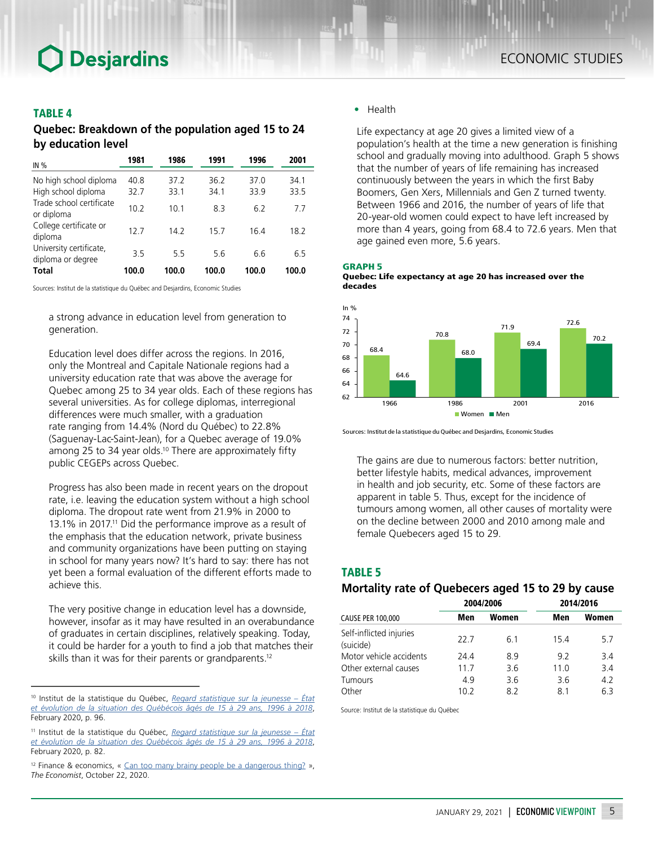## TABLE 4

*Quebec: Breakdown of the population aged 15 to 24 by education level*

| IN $%$                                        | 1981         | 1986         | 1991         | 1996         | 2001         |
|-----------------------------------------------|--------------|--------------|--------------|--------------|--------------|
| No high school diploma<br>High school diploma | 40.8<br>32.7 | 37.2<br>33.1 | 36.2<br>34.1 | 37.0<br>33.9 | 34.1<br>33.5 |
| Trade school certificate<br>or diploma        | 10.2         | 10.1         | 8.3          | 6.2          | 77           |
| College certificate or<br>diploma             | 12.7         | 14.2         | 15.7         | 16.4         | 18.2         |
| University certificate,<br>diploma or degree  | 35           | 55           | 5.6          | 6.6          | 6.5          |
| <b>Total</b>                                  | 100.0        | 100.0        | 100.0        | 100.0        | 100.0        |

Sources: Institut de la statistique du Québec and Desjardins, Economic Studies

a strong advance in education level from generation to generation.

Education level does differ across the regions. In 2016, only the Montreal and Capitale Nationale regions had a university education rate that was above the average for Quebec among 25 to 34 year olds. Each of these regions has several universities. As for college diplomas, interregional differences were much smaller, with a graduation rate ranging from 14.4% (Nord du Québec) to 22.8% (Saguenay-Lac-Saint-Jean), for a Quebec average of 19.0% among 25 to 34 year olds.<sup>10</sup> There are approximately fifty public CEGEPs across Quebec.

Progress has also been made in recent years on the dropout rate, i.e. leaving the education system without a high school diploma. The dropout rate went from 21.9% in 2000 to 13.1% in 2017.11 Did the performance improve as a result of the emphasis that the education network, private business and community organizations have been putting on staying in school for many years now? It's hard to say: there has not yet been a formal evaluation of the different efforts made to achieve this.

The very positive change in education level has a downside, however, insofar as it may have resulted in an overabundance of graduates in certain disciplines, relatively speaking. Today, it could be harder for a youth to find a job that matches their skills than it was for their parents or grandparents.<sup>12</sup>

### • Health

Life expectancy at age 20 gives a limited view of a population's health at the time a new generation is finishing school and gradually moving into adulthood. Graph 5 shows that the number of years of life remaining has increased continuously between the years in which the first Baby Boomers, Gen Xers, Millennials and Gen Z turned twenty. Between 1966 and 2016, the number of years of life that 20-year-old women could expect to have left increased by more than 4 years, going from 68.4 to 72.6 years. Men that age gained even more, 5.6 years.







Sources: Institut de la statistique du Québec and Desjardins, Economic Studies

The gains are due to numerous factors: better nutrition, better lifestyle habits, medical advances, improvement in health and job security, etc. Some of these factors are apparent in table 5. Thus, except for the incidence of tumours among women, all other causes of mortality were on the decline between 2000 and 2010 among male and female Quebecers aged 15 to 29.

## TABLE 5

## *Mortality rate of Quebecers aged 15 to 29 by cause*

|                                      |      | 2004/2006 | 2014/2016 |       |  |
|--------------------------------------|------|-----------|-----------|-------|--|
| CAUSE PER 100,000                    | Men  | Women     | Men       | Women |  |
| Self-inflicted injuries<br>(suicide) | 22 Z | 61        | 154       | 57    |  |
| Motor vehicle accidents              | 24.4 | 8.9       | 9.2       | 3.4   |  |
| Other external causes                | 117  | 3.6       | 11.0      | 3.4   |  |
| Tumours                              | 4.9  | 3.6       | 3.6       | 4.2   |  |
| Other                                | 10.2 | 82        | 81        | 63    |  |

Source: Institut de la statistique du Québec

<sup>10</sup> Institut de la statistique du Québec, *[Regard statistique sur la jeunesse – État](https://statistique.quebec.ca/fr/fichier/regard-statistique-sur-la-jeunesse-etat-et-evolution-de-la-situation-des-quebecois-ages-de-15-a-29-ans-1996-a-2018-edition-2019.pdf)  [et évolution de la situation des Québécois âgés de 15 à 29 ans, 1996 à 2018](https://statistique.quebec.ca/fr/fichier/regard-statistique-sur-la-jeunesse-etat-et-evolution-de-la-situation-des-quebecois-ages-de-15-a-29-ans-1996-a-2018-edition-2019.pdf)*, February 2020, p. 96.

<sup>11</sup> Institut de la statistique du Québec, *[Regard statistique sur la jeunesse – État](https://statistique.quebec.ca/fr/fichier/regard-statistique-sur-la-jeunesse-etat-et-evolution-de-la-situation-des-quebecois-ages-de-15-a-29-ans-1996-a-2018-edition-2019.pdf)  [et évolution de la situation des Québécois âgés de 15 à 29 ans, 1996 à 2018](https://statistique.quebec.ca/fr/fichier/regard-statistique-sur-la-jeunesse-etat-et-evolution-de-la-situation-des-quebecois-ages-de-15-a-29-ans-1996-a-2018-edition-2019.pdf)*, February 2020, p. 82.

<sup>&</sup>lt;sup>12</sup> Finance & economics, « [Can too many brainy people be a dangerous thing?](https://www.economist.com/finance-and-economics/2020/10/22/can-too-many-brainy-people-be-a-dangerous-thing) », *The Economist*, October 22, 2020.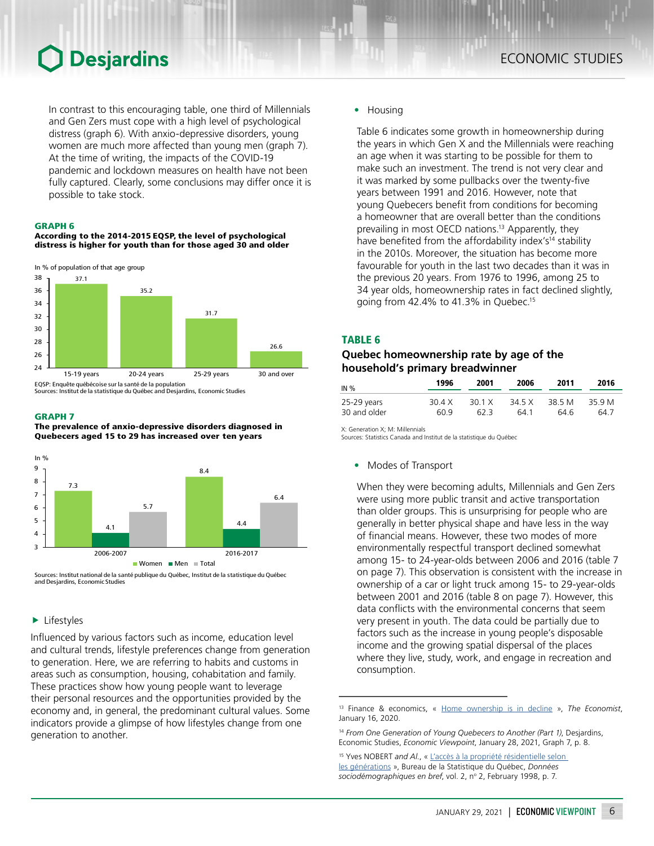In contrast to this encouraging table, one third of Millennials and Gen Zers must cope with a high level of psychological distress (graph 6). With anxio-depressive disorders, young women are much more affected than young men (graph 7). At the time of writing, the impacts of the COVID-19 pandemic and lockdown measures on health have not been fully captured. Clearly, some conclusions may differ once it is possible to take stock.

#### GRAPH 6

#### According to the 2014-2015 EQSP, the level of psychological distress is higher for youth than for those aged 30 and older



Sources: Institut de la statistique du Québec and Desjardins, Economic Studies

#### GRAPH 7

The prevalence of anxio-depressive disorders diagnosed in Quebecers aged 15 to 29 has increased over ten years



Sources: Institut national de la santé publique du Québec, Institut de la statistique du Québec and Desjardins, Economic Studies

### $\blacktriangleright$  Lifestyles

Influenced by various factors such as income, education level and cultural trends, lifestyle preferences change from generation to generation. Here, we are referring to habits and customs in areas such as consumption, housing, cohabitation and family. These practices show how young people want to leverage their personal resources and the opportunities provided by the economy and, in general, the predominant cultural values. Some indicators provide a glimpse of how lifestyles change from one generation to another.

#### • Housing

Table 6 indicates some growth in homeownership during the years in which Gen X and the Millennials were reaching an age when it was starting to be possible for them to make such an investment. The trend is not very clear and it was marked by some pullbacks over the twenty‑five years between 1991 and 2016. However, note that young Quebecers benefit from conditions for becoming a homeowner that are overall better than the conditions prevailing in most OECD nations.<sup>13</sup> Apparently, they have benefited from the affordability index's<sup>14</sup> stability in the 2010s. Moreover, the situation has become more favourable for youth in the last two decades than it was in the previous 20 years. From 1976 to 1996, among 25 to 34 year olds, homeownership rates in fact declined slightly, going from 42.4% to 41.3% in Quebec.15

### TABLE 6

## *Quebec homeownership rate by age of the household's primary breadwinner*

| IN %         | 1996   | 2001   | 2006   | 2011   | 2016   |
|--------------|--------|--------|--------|--------|--------|
| 25-29 years  | 30 4 X | 30.1 X | 34 5 X | 38.5 M | 35.9 M |
| 30 and older | 60 9   | 62 B   | 64 1   | 64 6   | 64 7   |

X: Generation X; M: Millennials

Sources: Statistics Canada and Institut de la statistique du Québec

• Modes of Transport

When they were becoming adults, Millennials and Gen Zers were using more public transit and active transportation than older groups. This is unsurprising for people who are generally in better physical shape and have less in the way of financial means. However, these two modes of more environmentally respectful transport declined somewhat among 15- to 24-year-olds between 2006 and 2016 (table 7 on page 7). This observation is consistent with the increase in ownership of a car or light truck among 15- to 29-year-olds between 2001 and 2016 (table 8 on page 7). However, this data conflicts with the environmental concerns that seem very present in youth. The data could be partially due to factors such as the increase in young people's disposable income and the growing spatial dispersal of the places where they live, study, work, and engage in recreation and consumption.

<sup>13</sup> Finance & economics, « [Home ownership is in decline](https://www.economist.com/special-report/2020/01/16/home-ownership-is-in-decline) », *The Economist*, January 16, 2020.

<sup>14</sup> *From One Generation of Young Quebecers to Another (Part 1)*, Desjardins, Economic Studies, *Economic Viewpoint*, January 28, 2021, Graph 7, p. 8.

<sup>&</sup>lt;sup>15</sup> Yves NOBERT and Al., « L'accès à la propriété résidentielle selon [les générations](https://statistique.quebec.ca/fr/fichier/donnees-sociodemographiques-en-bref-volume-2-no-2-fevrier-1998.pdf) », Bureau de la Statistique du Québec, *Données*  sociodémographiques en bref, vol. 2, nº 2, February 1998, p. 7.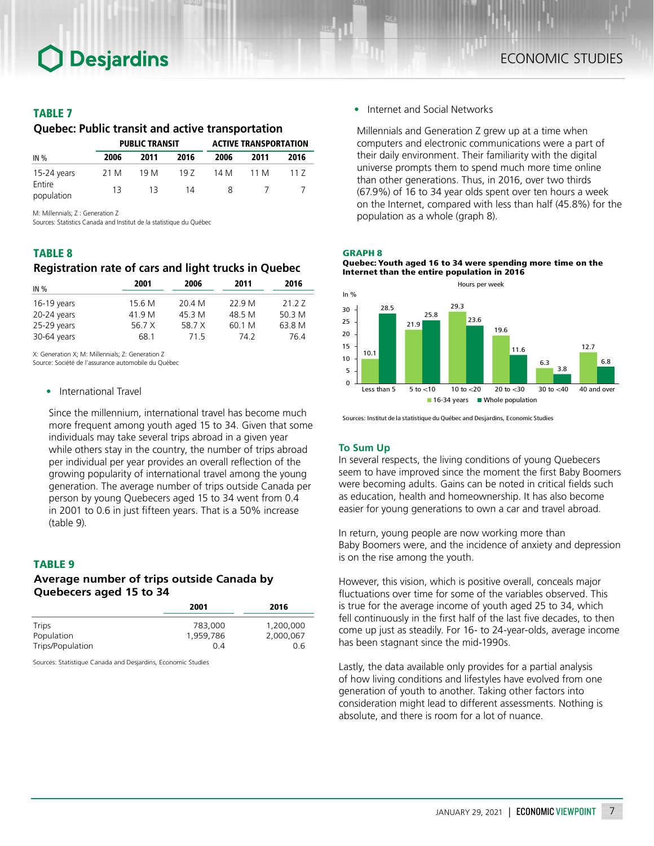### TABLE 7

*Quebec: Public transit and active transportation*

|                      |      | <b>PUBLIC TRANSIT</b> |      |      | <b>ACTIVE TRANSPORTATION</b> |      |
|----------------------|------|-----------------------|------|------|------------------------------|------|
| IN%                  | 2006 | 2011                  | 2016 | 2006 | 2011                         | 2016 |
| 15-24 years          | 21 M | 19 M                  | 197  | 14 M | 11 M                         | 117  |
| Entire<br>population | 13   | 13                    | 14   | Χ    |                              |      |

M: Millennials; Z : Generation Z

Sources: Statistics Canada and Institut de la statistique du Québec

### TABLE 8

## *Registration rate of cars and light trucks in Quebec*

| IN $%$      | 2001   | 2006   | 2011   | 2016   |
|-------------|--------|--------|--------|--------|
| 16-19 years | 15.6 M | 20.4 M | 22 9 M | 21 2 7 |
| 20-24 years | 41.9 M | 45.3 M | 48.5 M | 50.3 M |
| 25-29 years | 56.7 X | 58.7 X | 60.1 M | 63.8 M |
| 30-64 years | 68 1   | 715    | 74 2   | 764    |

X: Generation X; M: Millennials; Z: Generation Z

Source: Société de l'assurance automobile du Québec

#### • International Travel

Since the millennium, international travel has become much more frequent among youth aged 15 to 34. Given that some individuals may take several trips abroad in a given year while others stay in the country, the number of trips abroad per individual per year provides an overall reflection of the growing popularity of international travel among the young generation. The average number of trips outside Canada per person by young Quebecers aged 15 to 34 went from 0.4 in 2001 to 0.6 in just fifteen years. That is a 50% increase (table 9).

### TABLE 9

## *Average number of trips outside Canada by Quebecers aged 15 to 34*

| 2001      | 2016      |  |
|-----------|-----------|--|
| 783,000   | 1,200,000 |  |
| 1.959.786 | 2,000,067 |  |
| 0 4       | 0.6       |  |
|           |           |  |

Sources: Statistique Canada and Desjardins, Economic Studies

• Internet and Social Networks

Millennials and Generation Z grew up at a time when computers and electronic communications were a part of their daily environment. Their familiarity with the digital universe prompts them to spend much more time online than other generations. Thus, in 2016, over two thirds (67.9%) of 16 to 34 year olds spent over ten hours a week on the Internet, compared with less than half (45.8%) for the population as a whole (graph 8).

#### GRAPH 8

Quebec: Youth aged 16 to 34 were spending more time on the Internet than the entire population in 2016



Sources: Institut de la statistique du Québec and Desjardins, Economic Studies

#### **To Sum Up**

In several respects, the living conditions of young Quebecers seem to have improved since the moment the first Baby Boomers were becoming adults. Gains can be noted in critical fields such as education, health and homeownership. It has also become easier for young generations to own a car and travel abroad.

In return, young people are now working more than Baby Boomers were, and the incidence of anxiety and depression is on the rise among the youth.

However, this vision, which is positive overall, conceals major fluctuations over time for some of the variables observed. This is true for the average income of youth aged 25 to 34, which fell continuously in the first half of the last five decades, to then come up just as steadily. For 16- to 24-year-olds, average income has been stagnant since the mid-1990s.

Lastly, the data available only provides for a partial analysis of how living conditions and lifestyles have evolved from one generation of youth to another. Taking other factors into consideration might lead to different assessments. Nothing is absolute, and there is room for a lot of nuance.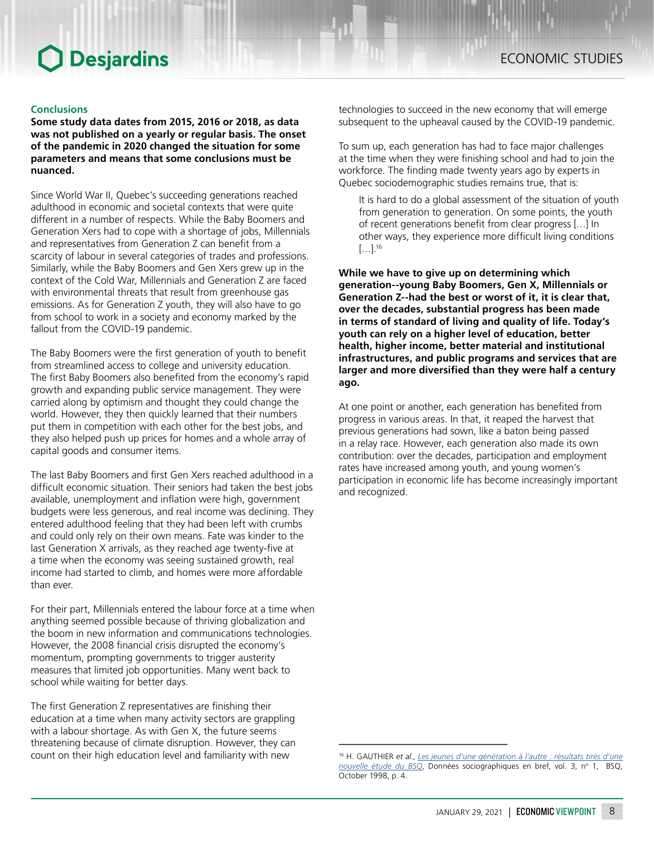**Some study data dates from 2015, 2016 or 2018, as data was not published on a yearly or regular basis. The onset of the pandemic in 2020 changed the situation for some parameters and means that some conclusions must be nuanced.**

Since World War II, Quebec's succeeding generations reached adulthood in economic and societal contexts that were quite different in a number of respects. While the Baby Boomers and Generation Xers had to cope with a shortage of jobs, Millennials and representatives from Generation Z can benefit from a scarcity of labour in several categories of trades and professions. Similarly, while the Baby Boomers and Gen Xers grew up in the context of the Cold War, Millennials and Generation Z are faced with environmental threats that result from greenhouse gas emissions. As for Generation Z youth, they will also have to go from school to work in a society and economy marked by the fallout from the COVID-19 pandemic.

The Baby Boomers were the first generation of youth to benefit from streamlined access to college and university education. The first Baby Boomers also benefited from the economy's rapid growth and expanding public service management. They were carried along by optimism and thought they could change the world. However, they then quickly learned that their numbers put them in competition with each other for the best jobs, and they also helped push up prices for homes and a whole array of capital goods and consumer items.

The last Baby Boomers and first Gen Xers reached adulthood in a difficult economic situation. Their seniors had taken the best jobs available, unemployment and inflation were high, government budgets were less generous, and real income was declining. They entered adulthood feeling that they had been left with crumbs and could only rely on their own means. Fate was kinder to the last Generation X arrivals, as they reached age twenty-five at a time when the economy was seeing sustained growth, real income had started to climb, and homes were more affordable than ever.

For their part, Millennials entered the labour force at a time when anything seemed possible because of thriving globalization and the boom in new information and communications technologies. However, the 2008 financial crisis disrupted the economy's momentum, prompting governments to trigger austerity measures that limited job opportunities. Many went back to school while waiting for better days.

The first Generation Z representatives are finishing their education at a time when many activity sectors are grappling with a labour shortage. As with Gen X, the future seems threatening because of climate disruption. However, they can count on their high education level and familiarity with new

technologies to succeed in the new economy that will emerge subsequent to the upheaval caused by the COVID-19 pandemic.

To sum up, each generation has had to face major challenges at the time when they were finishing school and had to join the workforce. The finding made twenty years ago by experts in Quebec sociodemographic studies remains true, that is:

It is hard to do a global assessment of the situation of youth from generation to generation. On some points, the youth of recent generations benefit from clear progress […] In other ways, they experience more difficult living conditions […].<sup>16</sup>

**While we have to give up on determining which generation--young Baby Boomers, Gen X, Millennials or Generation Z--had the best or worst of it, it is clear that, over the decades, substantial progress has been made in terms of standard of living and quality of life. Today's youth can rely on a higher level of education, better health, higher income, better material and institutional infrastructures, and public programs and services that are larger and more diversified than they were half a century ago.**

At one point or another, each generation has benefited from progress in various areas. In that, it reaped the harvest that previous generations had sown, like a baton being passed in a relay race. However, each generation also made its own contribution: over the decades, participation and employment rates have increased among youth, and young women's participation in economic life has become increasingly important and recognized.

<sup>16</sup> H. GAUTHIER *et al.*, *[Les jeunes d'une génération à l'autre : résultats tirés d'une](https://statistique.quebec.ca/fr/fichier/donnees-sociodemographiques-en-bref-volume-3-no-1-octobre-1998.pdf)*  [nouvelle étude du BSQ](https://statistique.quebec.ca/fr/fichier/donnees-sociodemographiques-en-bref-volume-3-no-1-octobre-1998.pdf), Données sociographiques en bref, vol. 3, nº 1, BSQ, October 1998, p. 4.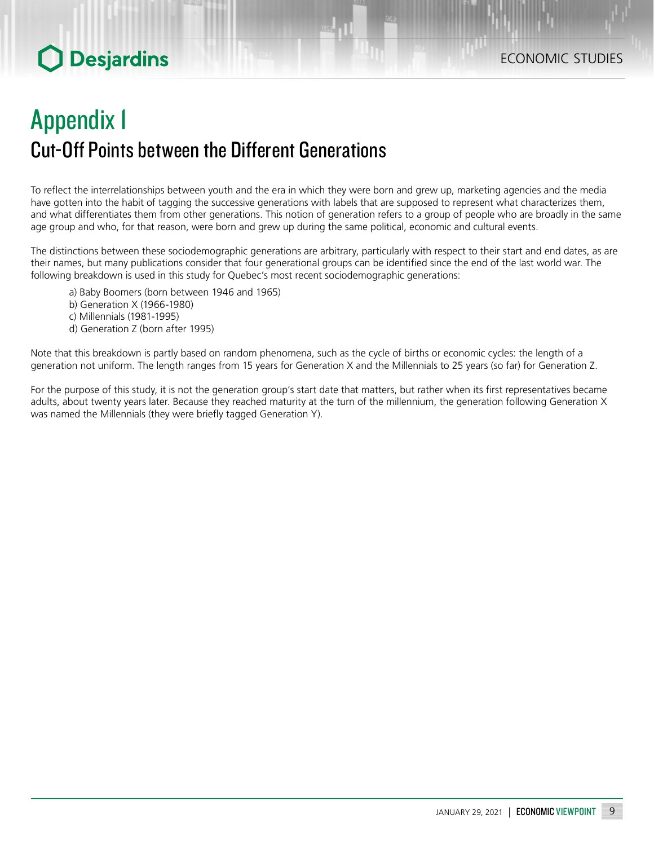# Appendix 1 Cut-Off Points between the Different Generations

To reflect the interrelationships between youth and the era in which they were born and grew up, marketing agencies and the media have gotten into the habit of tagging the successive generations with labels that are supposed to represent what characterizes them, and what differentiates them from other generations. This notion of generation refers to a group of people who are broadly in the same age group and who, for that reason, were born and grew up during the same political, economic and cultural events.

The distinctions between these sociodemographic generations are arbitrary, particularly with respect to their start and end dates, as are their names, but many publications consider that four generational groups can be identified since the end of the last world war. The following breakdown is used in this study for Quebec's most recent sociodemographic generations:

- a) Baby Boomers (born between 1946 and 1965)
- b) Generation X (1966-1980)
- c) Millennials (1981-1995)
- d) Generation Z (born after 1995)

Note that this breakdown is partly based on random phenomena, such as the cycle of births or economic cycles: the length of a generation not uniform. The length ranges from 15 years for Generation X and the Millennials to 25 years (so far) for Generation Z.

For the purpose of this study, it is not the generation group's start date that matters, but rather when its first representatives became adults, about twenty years later. Because they reached maturity at the turn of the millennium, the generation following Generation X was named the Millennials (they were briefly tagged Generation Y).